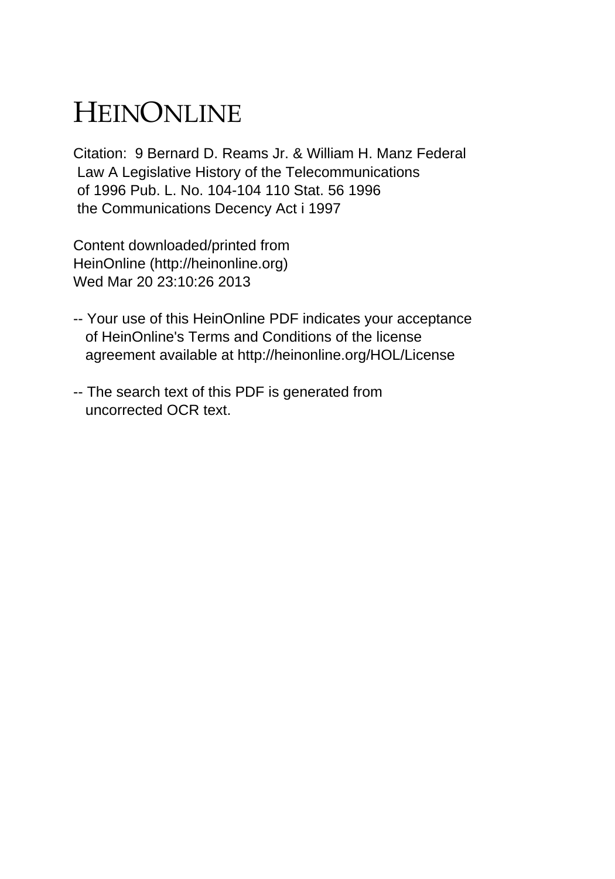## HEINONLINE

Citation: 9 Bernard D. Reams Jr. & William H. Manz Federal Law A Legislative History of the Telecommunications of 1996 Pub. L. No. 104-104 110 Stat. 56 1996 the Communications Decency Act i 1997

Content downloaded/printed from HeinOnline (http://heinonline.org) Wed Mar 20 23:10:26 2013

- -- Your use of this HeinOnline PDF indicates your acceptance of HeinOnline's Terms and Conditions of the license agreement available at http://heinonline.org/HOL/License
- -- The search text of this PDF is generated from uncorrected OCR text.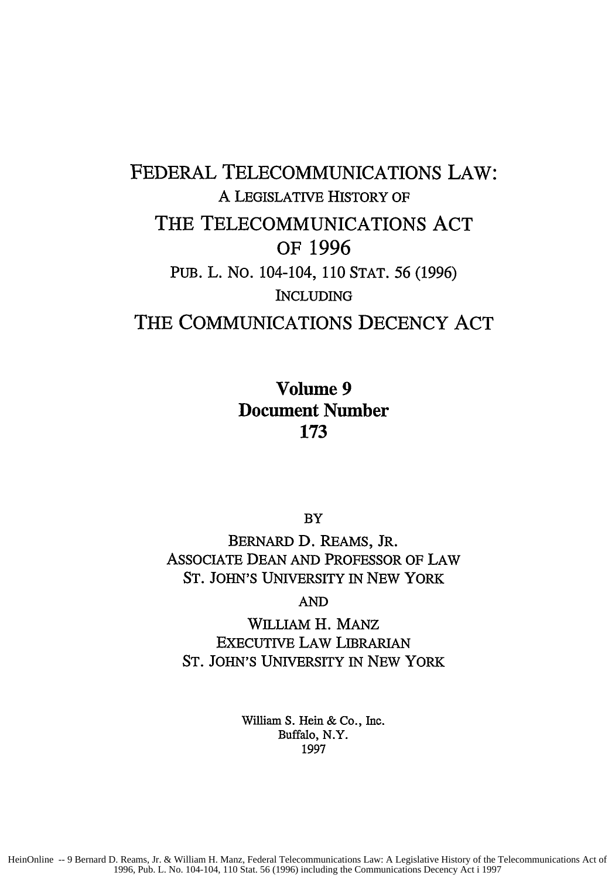## FEDERAL **TELECOMMUNICATIONS** LAW: A LEGISLATIVE HISTORY **OF** THE **TELECOMMUNICATIONS ACT** OF **1996** PUB. L. No. 104-104, 110 STAT. 56 (1996) **INCLUDING** THE COMMUNICATIONS **DECENCY ACT**

Volume **9** Document Number **173**

BY

BERNARD D. REAMS, JR. ASSOCIATE DEAN AND PROFESSOR OF LAW ST. JOHN'S UNIVERSITY IN NEW YORK

AND

WILLIAM H. MANz EXECUTIVE LAW LIBRARIAN ST. JOHN'S UNIVERSITY IN NEW YORK

> William **S.** Hein **&** Co., Inc. Buffalo, N.Y. 1997